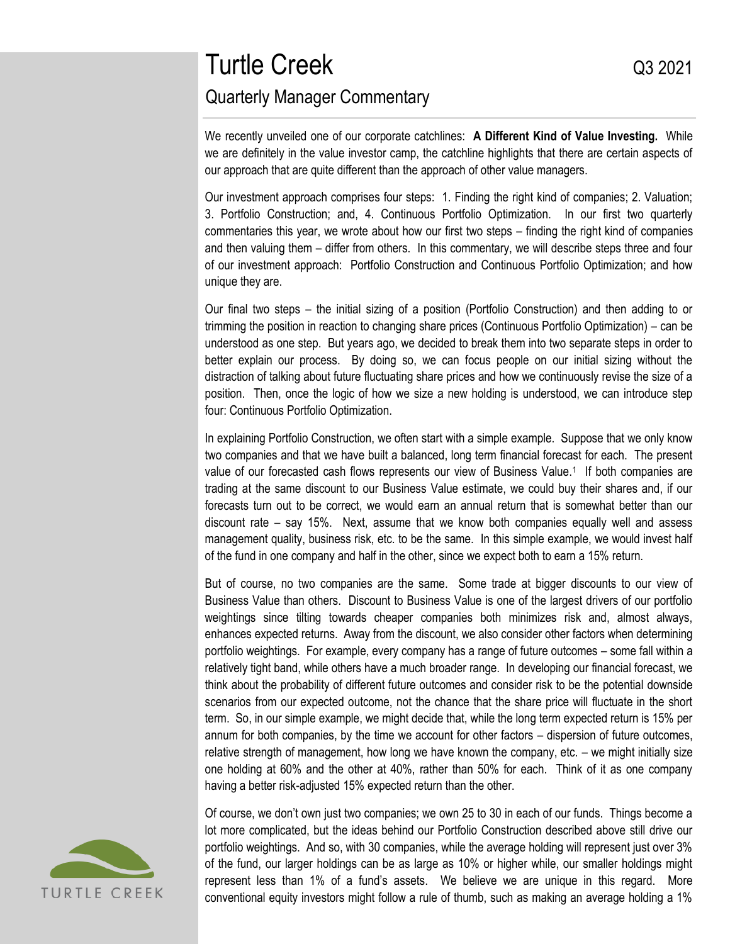# Turtle Creek and the Creek Control of the Creek Control of the Control of the Control of the Control of the Control of the Control of the Control of the Control of the Control of the Control of the Control of the Control o Quarterly Manager Commentary

We recently unveiled one of our corporate catchlines: **A Different Kind of Value Investing.** While we are definitely in the value investor camp, the catchline highlights that there are certain aspects of our approach that are quite different than the approach of other value managers.

Our investment approach comprises four steps: 1. Finding the right kind of companies; 2. Valuation; 3. Portfolio Construction; and, 4. Continuous Portfolio Optimization. In our first two quarterly commentaries this year, we wrote about how our first two steps – finding the right kind of companies and then valuing them – differ from others. In this commentary, we will describe steps three and four of our investment approach: Portfolio Construction and Continuous Portfolio Optimization; and how unique they are.

Our final two steps – the initial sizing of a position (Portfolio Construction) and then adding to or trimming the position in reaction to changing share prices (Continuous Portfolio Optimization) – can be understood as one step. But years ago, we decided to break them into two separate steps in order to better explain our process. By doing so, we can focus people on our initial sizing without the distraction of talking about future fluctuating share prices and how we continuously revise the size of a position. Then, once the logic of how we size a new holding is understood, we can introduce step four: Continuous Portfolio Optimization.

In explaining Portfolio Construction, we often start with a simple example. Suppose that we only know two companies and that we have built a balanced, long term financial forecast for each. The present value of our forecasted cash flows represents our view of Business Value.<sup>1</sup> If both companies are trading at the same discount to our Business Value estimate, we could buy their shares and, if our forecasts turn out to be correct, we would earn an annual return that is somewhat better than our discount rate – say 15%. Next, assume that we know both companies equally well and assess management quality, business risk, etc. to be the same. In this simple example, we would invest half of the fund in one company and half in the other, since we expect both to earn a 15% return.

But of course, no two companies are the same. Some trade at bigger discounts to our view of Business Value than others. Discount to Business Value is one of the largest drivers of our portfolio weightings since tilting towards cheaper companies both minimizes risk and, almost always, enhances expected returns. Away from the discount, we also consider other factors when determining portfolio weightings. For example, every company has a range of future outcomes – some fall within a relatively tight band, while others have a much broader range. In developing our financial forecast, we think about the probability of different future outcomes and consider risk to be the potential downside scenarios from our expected outcome, not the chance that the share price will fluctuate in the short term. So, in our simple example, we might decide that, while the long term expected return is 15% per annum for both companies, by the time we account for other factors – dispersion of future outcomes, relative strength of management, how long we have known the company, etc. – we might initially size one holding at 60% and the other at 40%, rather than 50% for each. Think of it as one company having a better risk-adjusted 15% expected return than the other.

Of course, we don't own just two companies; we own 25 to 30 in each of our funds. Things become a lot more complicated, but the ideas behind our Portfolio Construction described above still drive our portfolio weightings. And so, with 30 companies, while the average holding will represent just over 3% of the fund, our larger holdings can be as large as 10% or higher while, our smaller holdings might represent less than 1% of a fund's assets. We believe we are unique in this regard. More conventional equity investors might follow a rule of thumb, such as making an average holding a 1%

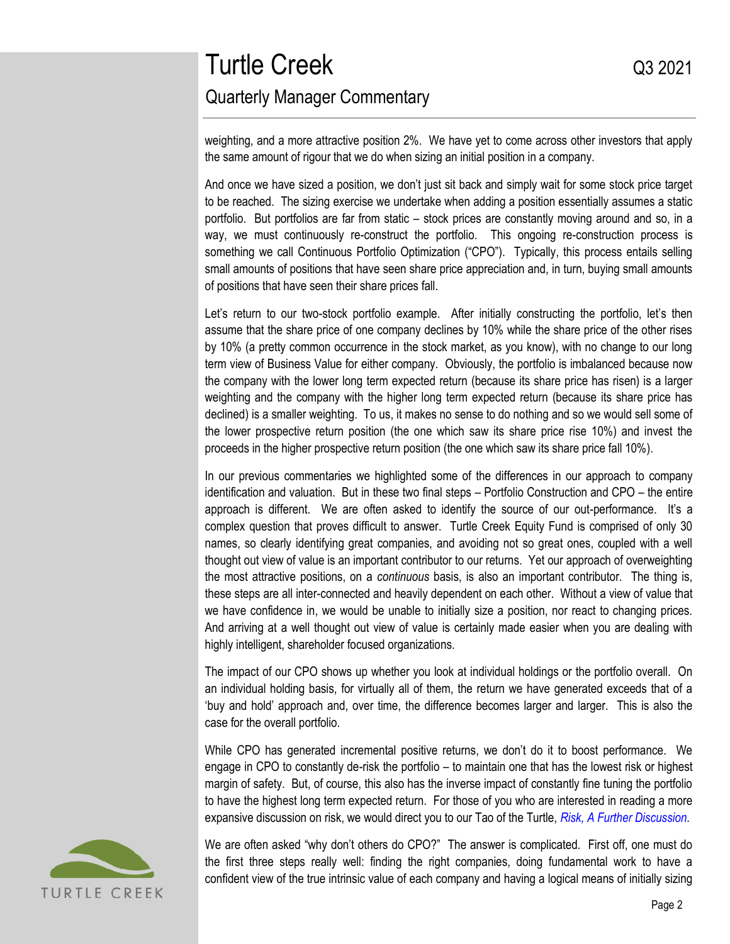## Turtle Creek and a control of the Creek and a control of the control of the control of the control of the control of the control of the control of the control of the control of the control of the control of the control of Quarterly Manager Commentary

weighting, and a more attractive position 2%. We have yet to come across other investors that apply the same amount of rigour that we do when sizing an initial position in a company.

And once we have sized a position, we don't just sit back and simply wait for some stock price target to be reached. The sizing exercise we undertake when adding a position essentially assumes a static portfolio. But portfolios are far from static – stock prices are constantly moving around and so, in a way, we must continuously re-construct the portfolio. This ongoing re-construction process is something we call Continuous Portfolio Optimization ("CPO"). Typically, this process entails selling small amounts of positions that have seen share price appreciation and, in turn, buying small amounts of positions that have seen their share prices fall.

Let's return to our two-stock portfolio example. After initially constructing the portfolio, let's then assume that the share price of one company declines by 10% while the share price of the other rises by 10% (a pretty common occurrence in the stock market, as you know), with no change to our long term view of Business Value for either company. Obviously, the portfolio is imbalanced because now the company with the lower long term expected return (because its share price has risen) is a larger weighting and the company with the higher long term expected return (because its share price has declined) is a smaller weighting. To us, it makes no sense to do nothing and so we would sell some of the lower prospective return position (the one which saw its share price rise 10%) and invest the proceeds in the higher prospective return position (the one which saw its share price fall 10%).

In our previous commentaries we highlighted some of the differences in our approach to company identification and valuation. But in these two final steps – Portfolio Construction and CPO – the entire approach is different. We are often asked to identify the source of our out-performance. It's a complex question that proves difficult to answer. Turtle Creek Equity Fund is comprised of only 30 names, so clearly identifying great companies, and avoiding not so great ones, coupled with a well thought out view of value is an important contributor to our returns. Yet our approach of overweighting the most attractive positions, on a *continuous* basis, is also an important contributor. The thing is, these steps are all inter-connected and heavily dependent on each other. Without a view of value that we have confidence in, we would be unable to initially size a position, nor react to changing prices. And arriving at a well thought out view of value is certainly made easier when you are dealing with highly intelligent, shareholder focused organizations.

The impact of our CPO shows up whether you look at individual holdings or the portfolio overall. On an individual holding basis, for virtually all of them, the return we have generated exceeds that of a 'buy and hold' approach and, over time, the difference becomes larger and larger. This is also the case for the overall portfolio.

While CPO has generated incremental positive returns, we don't do it to boost performance. We engage in CPO to constantly de-risk the portfolio – to maintain one that has the lowest risk or highest margin of safety. But, of course, this also has the inverse impact of constantly fine tuning the portfolio to have the highest long term expected return. For those of you who are interested in reading a more expansive discussion on risk, we would direct you to our Tao of the Turtle, *[Risk, A Further Discussion.](https://www.turtlecreek.ca/wp-content/uploads/2020/09/TCAM-Thought-Piece-Risk-A-Further-Discussion-Sept-2012.pdf)*



We are often asked "why don't others do CPO?" The answer is complicated. First off, one must do the first three steps really well: finding the right companies, doing fundamental work to have a confident view of the true intrinsic value of each company and having a logical means of initially sizing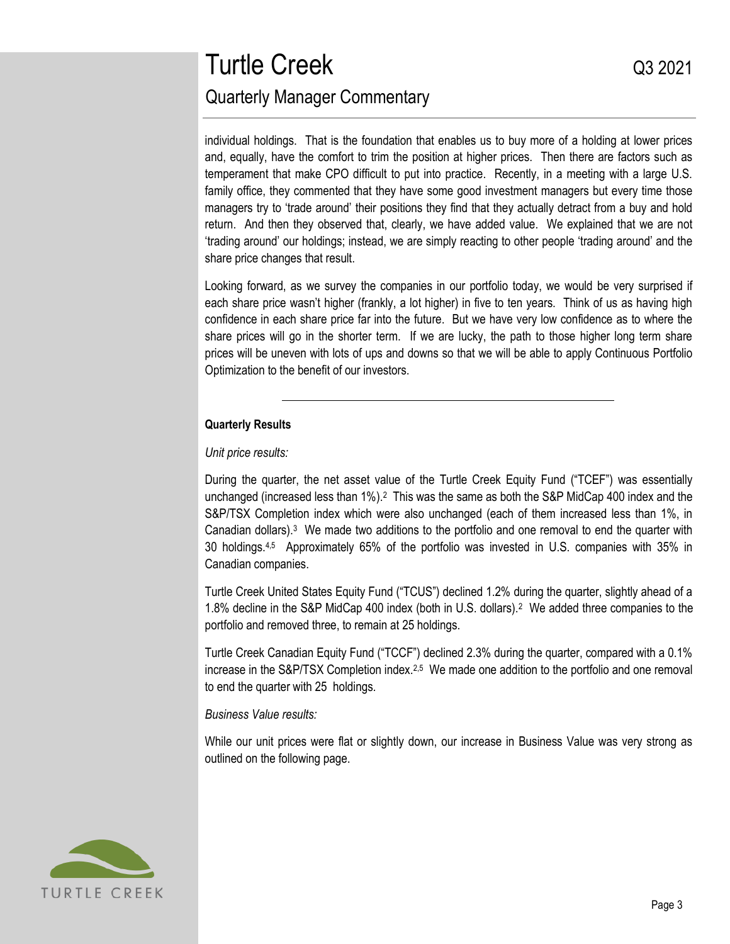## Turtle Creek and a control of the Creek and a control of the control of the control of the control of the control of the control of the control of the control of the control of the control of the control of the control of Quarterly Manager Commentary

individual holdings. That is the foundation that enables us to buy more of a holding at lower prices and, equally, have the comfort to trim the position at higher prices. Then there are factors such as temperament that make CPO difficult to put into practice. Recently, in a meeting with a large U.S. family office, they commented that they have some good investment managers but every time those managers try to 'trade around' their positions they find that they actually detract from a buy and hold return. And then they observed that, clearly, we have added value. We explained that we are not 'trading around' our holdings; instead, we are simply reacting to other people 'trading around' and the share price changes that result.

Looking forward, as we survey the companies in our portfolio today, we would be very surprised if each share price wasn't higher (frankly, a lot higher) in five to ten years. Think of us as having high confidence in each share price far into the future. But we have very low confidence as to where the share prices will go in the shorter term. If we are lucky, the path to those higher long term share prices will be uneven with lots of ups and downs so that we will be able to apply Continuous Portfolio Optimization to the benefit of our investors.

### **Quarterly Results**

*Unit price results:*

During the quarter, the net asset value of the Turtle Creek Equity Fund ("TCEF") was essentially unchanged (increased less than 1%).<sup>2</sup> This was the same as both the S&P MidCap 400 index and the S&P/TSX Completion index which were also unchanged (each of them increased less than 1%, in Canadian dollars).<sup>3</sup> We made two additions to the portfolio and one removal to end the quarter with 30 holdings.4,5 Approximately 65% of the portfolio was invested in U.S. companies with 35% in Canadian companies.

Turtle Creek United States Equity Fund ("TCUS") declined 1.2% during the quarter, slightly ahead of a 1.8% decline in the S&P MidCap 400 index (both in U.S. dollars).<sup>2</sup> We added three companies to the portfolio and removed three, to remain at 25 holdings.

Turtle Creek Canadian Equity Fund ("TCCF") declined 2.3% during the quarter, compared with a 0.1% increase in the S&P/TSX Completion index.<sup>2,5</sup> We made one addition to the portfolio and one removal to end the quarter with 25 holdings*.*

### *Business Value results:*

While our unit prices were flat or slightly down, our increase in Business Value was very strong as outlined on the following page.

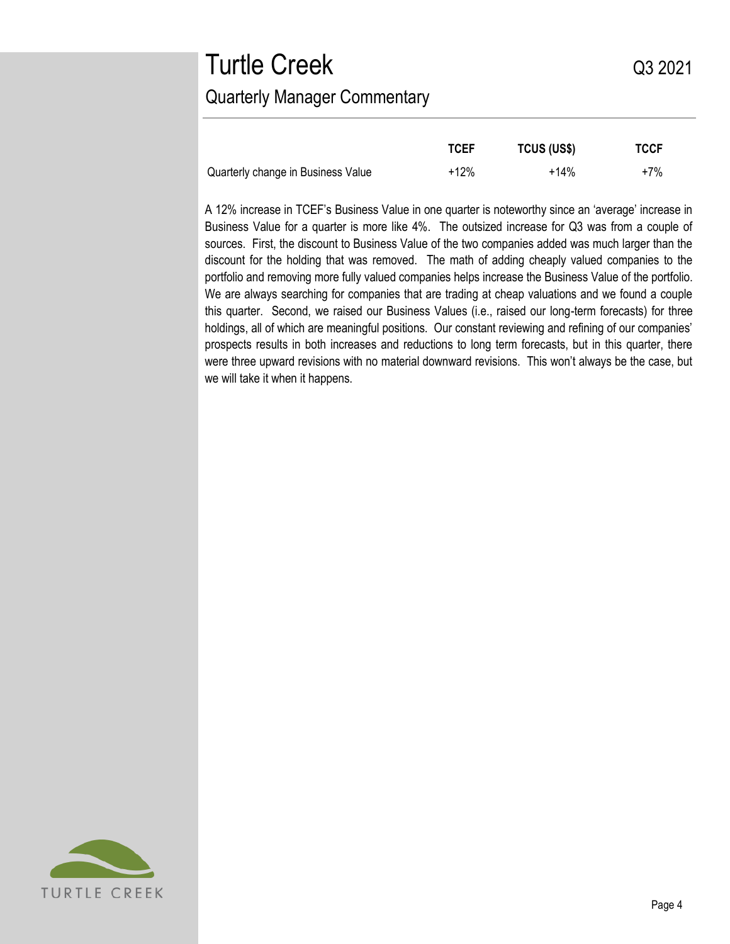# Turtle Creek and a control of the Creek and a control of the control of the control of the control of the control of the control of the control of the control of the control of the control of the control of the control of Quarterly Manager Commentary

|                                    | <b>TCEF</b> | <b>TCUS (US\$)</b> | <b>TCCF</b> |
|------------------------------------|-------------|--------------------|-------------|
| Quarterly change in Business Value | $+12%$      | $+14%$             | $+7%$       |

A 12% increase in TCEF's Business Value in one quarter is noteworthy since an 'average' increase in Business Value for a quarter is more like 4%. The outsized increase for Q3 was from a couple of sources. First, the discount to Business Value of the two companies added was much larger than the discount for the holding that was removed. The math of adding cheaply valued companies to the portfolio and removing more fully valued companies helps increase the Business Value of the portfolio. We are always searching for companies that are trading at cheap valuations and we found a couple this quarter. Second, we raised our Business Values (i.e., raised our long-term forecasts) for three holdings, all of which are meaningful positions. Our constant reviewing and refining of our companies' prospects results in both increases and reductions to long term forecasts, but in this quarter, there were three upward revisions with no material downward revisions. This won't always be the case, but we will take it when it happens.